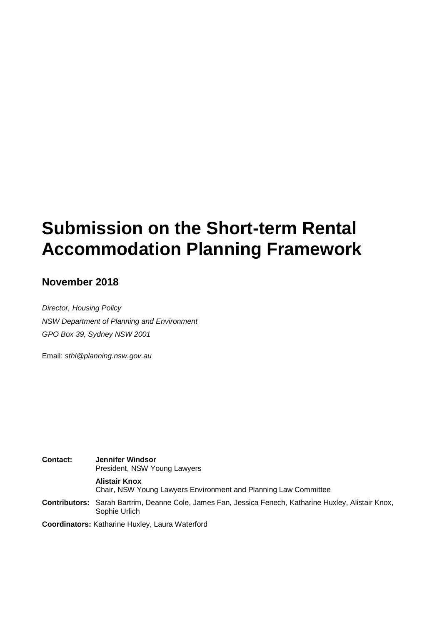# **Submission on the Short-term Rental Accommodation Planning Framework**

## **November 2018**

*Director, Housing Policy NSW Department of Planning and Environment GPO Box 39, Sydney NSW 2001*

Email: *sthl@planning.nsw.gov.au*

**Contact: Jennifer Windsor** President, NSW Young Lawyers **Alistair Knox** Chair, NSW Young Lawyers Environment and Planning Law Committee **Contributors:** Sarah Bartrim, Deanne Cole, James Fan, Jessica Fenech, Katharine Huxley, Alistair Knox, Sophie Urlich

**Coordinators:** Katharine Huxley, Laura Waterford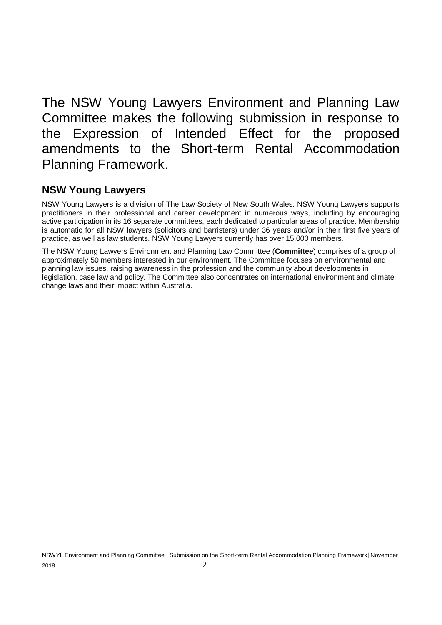The NSW Young Lawyers Environment and Planning Law Committee makes the following submission in response to the Expression of Intended Effect for the proposed amendments to the Short-term Rental Accommodation Planning Framework.

## **NSW Young Lawyers**

NSW Young Lawyers is a division of The Law Society of New South Wales. NSW Young Lawyers supports practitioners in their professional and career development in numerous ways, including by encouraging active participation in its 16 separate committees, each dedicated to particular areas of practice. Membership is automatic for all NSW lawyers (solicitors and barristers) under 36 years and/or in their first five years of practice, as well as law students. NSW Young Lawyers currently has over 15,000 members.

The NSW Young Lawyers Environment and Planning Law Committee (**Committee**) comprises of a group of approximately 50 members interested in our environment. The Committee focuses on environmental and planning law issues, raising awareness in the profession and the community about developments in legislation, case law and policy. The Committee also concentrates on international environment and climate change laws and their impact within Australia.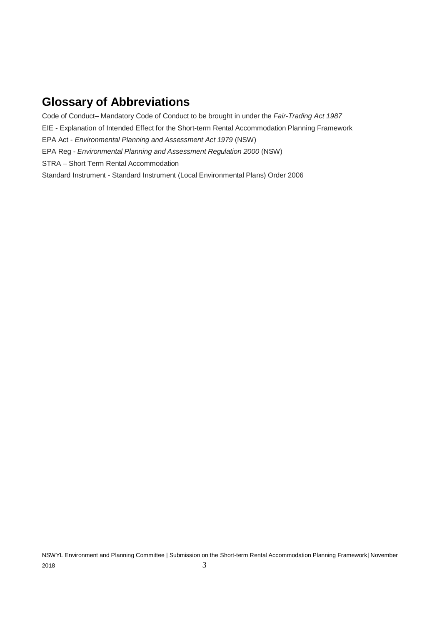## **Glossary of Abbreviations**

Code of Conduct– Mandatory Code of Conduct to be brought in under the *Fair-Trading Act 1987* EIE - Explanation of Intended Effect for the Short-term Rental Accommodation Planning Framework EPA Act - *Environmental Planning and Assessment Act 1979* (NSW) EPA Reg - *Environmental Planning and Assessment Regulation 2000* (NSW) STRA – Short Term Rental Accommodation Standard Instrument - Standard Instrument (Local Environmental Plans) Order 2006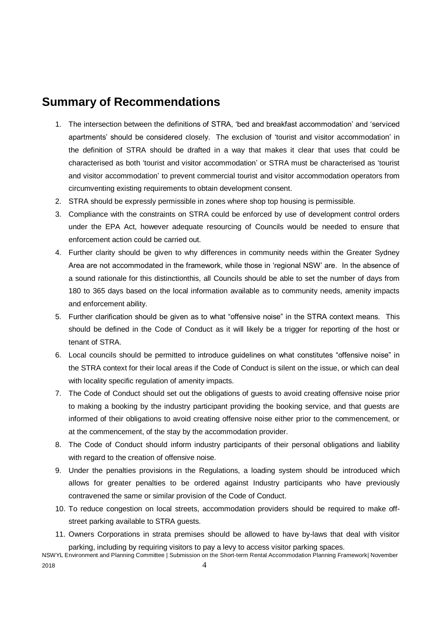## **Summary of Recommendations**

- 1. The intersection between the definitions of STRA, 'bed and breakfast accommodation' and 'serviced apartments' should be considered closely. The exclusion of 'tourist and visitor accommodation' in the definition of STRA should be drafted in a way that makes it clear that uses that could be characterised as both 'tourist and visitor accommodation' or STRA must be characterised as 'tourist and visitor accommodation' to prevent commercial tourist and visitor accommodation operators from circumventing existing requirements to obtain development consent.
- 2. STRA should be expressly permissible in zones where shop top housing is permissible.
- 3. Compliance with the constraints on STRA could be enforced by use of development control orders under the EPA Act, however adequate resourcing of Councils would be needed to ensure that enforcement action could be carried out.
- 4. Further clarity should be given to why differences in community needs within the Greater Sydney Area are not accommodated in the framework, while those in 'regional NSW' are. In the absence of a sound rationale for this distinctionthis, all Councils should be able to set the number of days from 180 to 365 days based on the local information available as to community needs, amenity impacts and enforcement ability.
- 5. Further clarification should be given as to what "offensive noise" in the STRA context means. This should be defined in the Code of Conduct as it will likely be a trigger for reporting of the host or tenant of STRA.
- 6. Local councils should be permitted to introduce guidelines on what constitutes "offensive noise" in the STRA context for their local areas if the Code of Conduct is silent on the issue, or which can deal with locality specific regulation of amenity impacts.
- 7. The Code of Conduct should set out the obligations of guests to avoid creating offensive noise prior to making a booking by the industry participant providing the booking service, and that guests are informed of their obligations to avoid creating offensive noise either prior to the commencement, or at the commencement, of the stay by the accommodation provider.
- 8. The Code of Conduct should inform industry participants of their personal obligations and liability with regard to the creation of offensive noise.
- 9. Under the penalties provisions in the Regulations, a loading system should be introduced which allows for greater penalties to be ordered against Industry participants who have previously contravened the same or similar provision of the Code of Conduct.
- 10. To reduce congestion on local streets, accommodation providers should be required to make offstreet parking available to STRA guests.
- 11. Owners Corporations in strata premises should be allowed to have by-laws that deal with visitor parking, including by requiring visitors to pay a levy to access visitor parking spaces.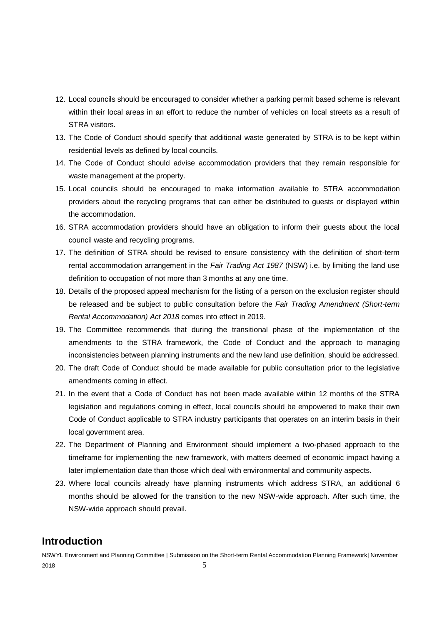- 12. Local councils should be encouraged to consider whether a parking permit based scheme is relevant within their local areas in an effort to reduce the number of vehicles on local streets as a result of STRA visitors.
- 13. The Code of Conduct should specify that additional waste generated by STRA is to be kept within residential levels as defined by local councils.
- 14. The Code of Conduct should advise accommodation providers that they remain responsible for waste management at the property.
- 15. Local councils should be encouraged to make information available to STRA accommodation providers about the recycling programs that can either be distributed to guests or displayed within the accommodation.
- 16. STRA accommodation providers should have an obligation to inform their guests about the local council waste and recycling programs.
- 17. The definition of STRA should be revised to ensure consistency with the definition of short-term rental accommodation arrangement in the *Fair Trading Act 1987* (NSW) i.e. by limiting the land use definition to occupation of not more than 3 months at any one time.
- 18. Details of the proposed appeal mechanism for the listing of a person on the exclusion register should be released and be subject to public consultation before the *Fair Trading Amendment (Short-term Rental Accommodation) Act 2018* comes into effect in 2019.
- 19. The Committee recommends that during the transitional phase of the implementation of the amendments to the STRA framework, the Code of Conduct and the approach to managing inconsistencies between planning instruments and the new land use definition, should be addressed.
- 20. The draft Code of Conduct should be made available for public consultation prior to the legislative amendments coming in effect.
- 21. In the event that a Code of Conduct has not been made available within 12 months of the STRA legislation and regulations coming in effect, local councils should be empowered to make their own Code of Conduct applicable to STRA industry participants that operates on an interim basis in their local government area.
- 22. The Department of Planning and Environment should implement a two-phased approach to the timeframe for implementing the new framework, with matters deemed of economic impact having a later implementation date than those which deal with environmental and community aspects.
- 23. Where local councils already have planning instruments which address STRA, an additional 6 months should be allowed for the transition to the new NSW-wide approach. After such time, the NSW-wide approach should prevail.

## **Introduction**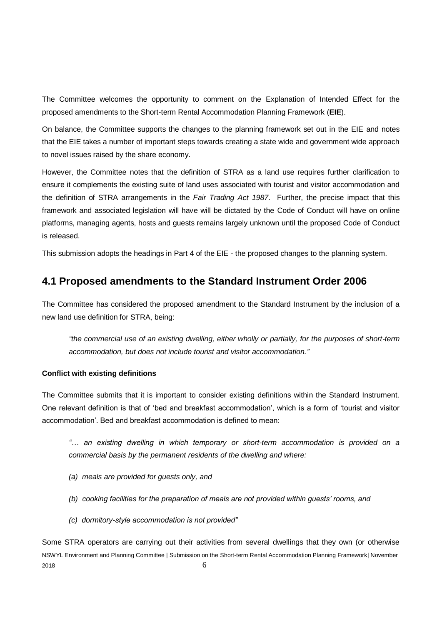The Committee welcomes the opportunity to comment on the Explanation of Intended Effect for the proposed amendments to the Short-term Rental Accommodation Planning Framework (**EIE**).

On balance, the Committee supports the changes to the planning framework set out in the EIE and notes that the EIE takes a number of important steps towards creating a state wide and government wide approach to novel issues raised by the share economy.

However, the Committee notes that the definition of STRA as a land use requires further clarification to ensure it complements the existing suite of land uses associated with tourist and visitor accommodation and the definition of STRA arrangements in the *Fair Trading Act 1987*. Further, the precise impact that this framework and associated legislation will have will be dictated by the Code of Conduct will have on online platforms, managing agents, hosts and guests remains largely unknown until the proposed Code of Conduct is released.

This submission adopts the headings in Part 4 of the EIE - the proposed changes to the planning system.

## **4.1 Proposed amendments to the Standard Instrument Order 2006**

The Committee has considered the proposed amendment to the Standard Instrument by the inclusion of a new land use definition for STRA, being:

*"the commercial use of an existing dwelling, either wholly or partially, for the purposes of short-term accommodation, but does not include tourist and visitor accommodation."*

#### **Conflict with existing definitions**

The Committee submits that it is important to consider existing definitions within the Standard Instrument. One relevant definition is that of 'bed and breakfast accommodation', which is a form of 'tourist and visitor accommodation'. Bed and breakfast accommodation is defined to mean:

*"… an existing dwelling in which temporary or short-term accommodation is provided on a commercial basis by the permanent residents of the dwelling and where:*

- *(a) meals are provided for guests only, and*
- *(b) cooking facilities for the preparation of meals are not provided within guests' rooms, and*
- *(c) dormitory-style accommodation is not provided"*

NSWYL Environment and Planning Committee | Submission on the Short-term Rental Accommodation Planning Framework| November 2018  $\qquad \qquad 6$ Some STRA operators are carrying out their activities from several dwellings that they own (or otherwise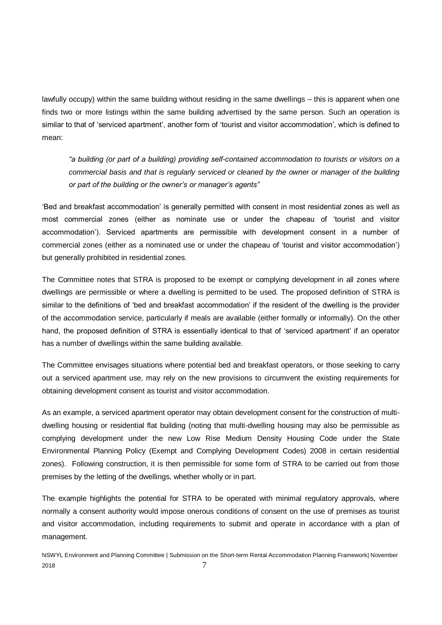lawfully occupy) within the same building without residing in the same dwellings – this is apparent when one finds two or more listings within the same building advertised by the same person. Such an operation is similar to that of 'serviced apartment', another form of 'tourist and visitor accommodation', which is defined to mean:

*"a building (or part of a building) providing self-contained accommodation to tourists or visitors on a commercial basis and that is regularly serviced or cleaned by the owner or manager of the building or part of the building or the owner's or manager's agents"*

'Bed and breakfast accommodation' is generally permitted with consent in most residential zones as well as most commercial zones (either as nominate use or under the chapeau of 'tourist and visitor accommodation'). Serviced apartments are permissible with development consent in a number of commercial zones (either as a nominated use or under the chapeau of 'tourist and visitor accommodation') but generally prohibited in residential zones.

The Committee notes that STRA is proposed to be exempt or complying development in all zones where dwellings are permissible or where a dwelling is permitted to be used. The proposed definition of STRA is similar to the definitions of 'bed and breakfast accommodation' if the resident of the dwelling is the provider of the accommodation service, particularly if meals are available (either formally or informally). On the other hand, the proposed definition of STRA is essentially identical to that of 'serviced apartment' if an operator has a number of dwellings within the same building available.

The Committee envisages situations where potential bed and breakfast operators, or those seeking to carry out a serviced apartment use, may rely on the new provisions to circumvent the existing requirements for obtaining development consent as tourist and visitor accommodation.

As an example, a serviced apartment operator may obtain development consent for the construction of multidwelling housing or residential flat building (noting that multi-dwelling housing may also be permissible as complying development under the new Low Rise Medium Density Housing Code under the State Environmental Planning Policy (Exempt and Complying Development Codes) 2008 in certain residential zones). Following construction, it is then permissible for some form of STRA to be carried out from those premises by the letting of the dwellings, whether wholly or in part.

The example highlights the potential for STRA to be operated with minimal regulatory approvals, where normally a consent authority would impose onerous conditions of consent on the use of premises as tourist and visitor accommodation, including requirements to submit and operate in accordance with a plan of management.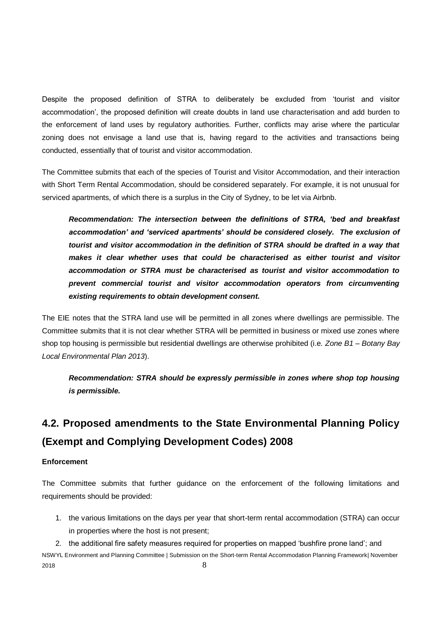Despite the proposed definition of STRA to deliberately be excluded from 'tourist and visitor accommodation', the proposed definition will create doubts in land use characterisation and add burden to the enforcement of land uses by regulatory authorities. Further, conflicts may arise where the particular zoning does not envisage a land use that is, having regard to the activities and transactions being conducted, essentially that of tourist and visitor accommodation.

The Committee submits that each of the species of Tourist and Visitor Accommodation, and their interaction with Short Term Rental Accommodation, should be considered separately. For example, it is not unusual for serviced apartments, of which there is a surplus in the City of Sydney, to be let via Airbnb.

*Recommendation: The intersection between the definitions of STRA, 'bed and breakfast*  accommodation' and 'serviced apartments' should be considered closely. The exclusion of *tourist and visitor accommodation in the definition of STRA should be drafted in a way that makes it clear whether uses that could be characterised as either tourist and visitor accommodation or STRA must be characterised as tourist and visitor accommodation to prevent commercial tourist and visitor accommodation operators from circumventing existing requirements to obtain development consent.*

The EIE notes that the STRA land use will be permitted in all zones where dwellings are permissible. The Committee submits that it is not clear whether STRA will be permitted in business or mixed use zones where shop top housing is permissible but residential dwellings are otherwise prohibited (i.e. *Zone B1 – Botany Bay Local Environmental Plan 2013*).

*Recommendation: STRA should be expressly permissible in zones where shop top housing is permissible.*

## **4.2. Proposed amendments to the State Environmental Planning Policy (Exempt and Complying Development Codes) 2008**

#### **Enforcement**

The Committee submits that further guidance on the enforcement of the following limitations and requirements should be provided:

1. the various limitations on the days per year that short-term rental accommodation (STRA) can occur in properties where the host is not present;

NSWYL Environment and Planning Committee | Submission on the Short-term Rental Accommodation Planning Framework| November  $2018$   $8$ 2. the additional fire safety measures required for properties on mapped 'bushfire prone land'; and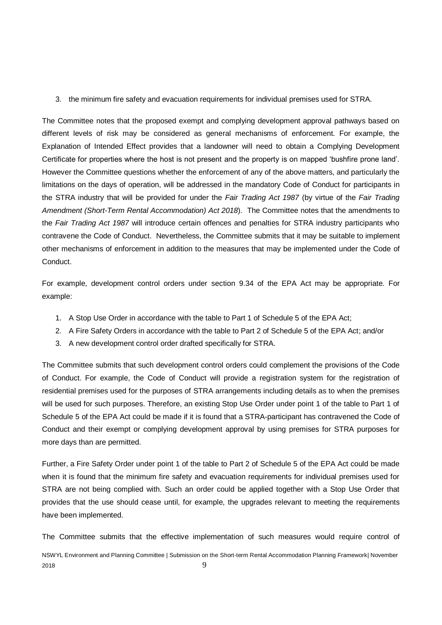3. the minimum fire safety and evacuation requirements for individual premises used for STRA.

The Committee notes that the proposed exempt and complying development approval pathways based on different levels of risk may be considered as general mechanisms of enforcement. For example, the Explanation of Intended Effect provides that a landowner will need to obtain a Complying Development Certificate for properties where the host is not present and the property is on mapped 'bushfire prone land'. However the Committee questions whether the enforcement of any of the above matters, and particularly the limitations on the days of operation, will be addressed in the mandatory Code of Conduct for participants in the STRA industry that will be provided for under the *Fair Trading Act 1987* (by virtue of the *Fair Trading Amendment (Short-Term Rental Accommodation) Act 2018*). The Committee notes that the amendments to the *Fair Trading Act 1987* will introduce certain offences and penalties for STRA industry participants who contravene the Code of Conduct. Nevertheless, the Committee submits that it may be suitable to implement other mechanisms of enforcement in addition to the measures that may be implemented under the Code of Conduct.

For example, development control orders under section 9.34 of the EPA Act may be appropriate. For example:

- 1. A Stop Use Order in accordance with the table to Part 1 of Schedule 5 of the EPA Act;
- 2. A Fire Safety Orders in accordance with the table to Part 2 of Schedule 5 of the EPA Act; and/or
- 3. A new development control order drafted specifically for STRA.

The Committee submits that such development control orders could complement the provisions of the Code of Conduct. For example, the Code of Conduct will provide a registration system for the registration of residential premises used for the purposes of STRA arrangements including details as to when the premises will be used for such purposes. Therefore, an existing Stop Use Order under point 1 of the table to Part 1 of Schedule 5 of the EPA Act could be made if it is found that a STRA-participant has contravened the Code of Conduct and their exempt or complying development approval by using premises for STRA purposes for more days than are permitted.

Further, a Fire Safety Order under point 1 of the table to Part 2 of Schedule 5 of the EPA Act could be made when it is found that the minimum fire safety and evacuation requirements for individual premises used for STRA are not being complied with. Such an order could be applied together with a Stop Use Order that provides that the use should cease until, for example, the upgrades relevant to meeting the requirements have been implemented.

The Committee submits that the effective implementation of such measures would require control of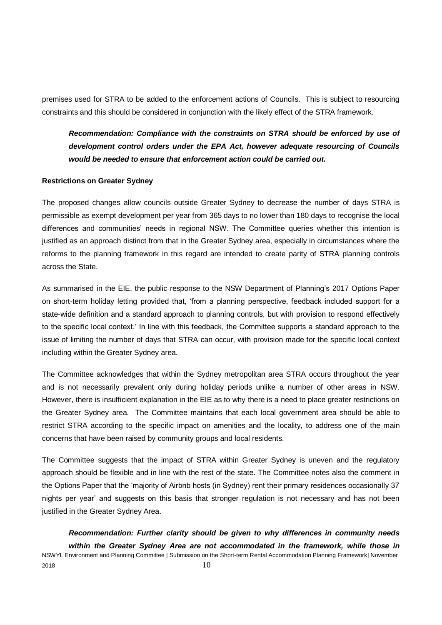premises used for STRA to be added to the enforcement actions of Councils. This is subject to resourcing constraints and this should be considered in conjunction with the likely effect of the STRA framework.

*Recommendation: Compliance with the constraints on STRA should be enforced by use of development control orders under the EPA Act, however adequate resourcing of Councils would be needed to ensure that enforcement action could be carried out.*

#### **Restrictions on Greater Sydney**

The proposed changes allow councils outside Greater Sydney to decrease the number of days STRA is permissible as exempt development per year from 365 days to no lower than 180 days to recognise the local differences and communities' needs in regional NSW. The Committee queries whether this intention is justified as an approach distinct from that in the Greater Sydney area, especially in circumstances where the reforms to the planning framework in this regard are intended to create parity of STRA planning controls across the State.

As summarised in the EIE, the public response to the NSW Department of Planning's 2017 Options Paper on short-term holiday letting provided that, 'from a planning perspective, feedback included support for a state-wide definition and a standard approach to planning controls, but with provision to respond effectively to the specific local context.' In line with this feedback, the Committee supports a standard approach to the issue of limiting the number of days that STRA can occur, with provision made for the specific local context including within the Greater Sydney area.

The Committee acknowledges that within the Sydney metropolitan area STRA occurs throughout the year and is not necessarily prevalent only during holiday periods unlike a number of other areas in NSW. However, there is insufficient explanation in the EIE as to why there is a need to place greater restrictions on the Greater Sydney area. The Committee maintains that each local government area should be able to restrict STRA according to the specific impact on amenities and the locality, to address one of the main concerns that have been raised by community groups and local residents.

The Committee suggests that the impact of STRA within Greater Sydney is uneven and the regulatory approach should be flexible and in line with the rest of the state. The Committee notes also the comment in the Options Paper that the 'majority of Airbnb hosts (in Sydney) rent their primary residences occasionally 37 nights per year' and suggests on this basis that stronger regulation is not necessary and has not been justified in the Greater Sydney Area.

NSWYL Environment and Planning Committee | Submission on the Short-term Rental Accommodation Planning Framework| November 2018  $10$ *Recommendation: Further clarity should be given to why differences in community needs within the Greater Sydney Area are not accommodated in the framework, while those in*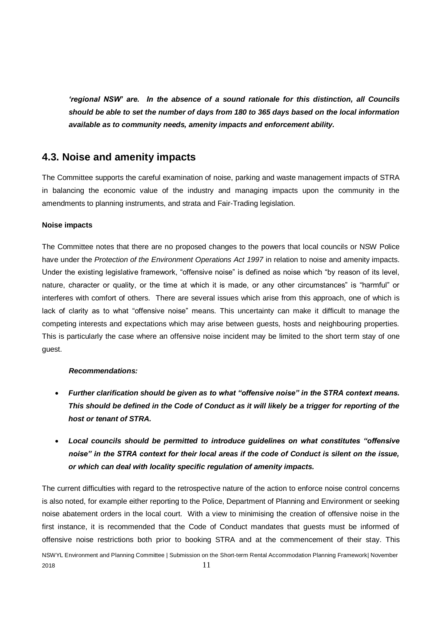*'regional NSW' are. In the absence of a sound rationale for this distinction, all Councils should be able to set the number of days from 180 to 365 days based on the local information available as to community needs, amenity impacts and enforcement ability.*

## **4.3. Noise and amenity impacts**

The Committee supports the careful examination of noise, parking and waste management impacts of STRA in balancing the economic value of the industry and managing impacts upon the community in the amendments to planning instruments, and strata and Fair-Trading legislation.

#### **Noise impacts**

The Committee notes that there are no proposed changes to the powers that local councils or NSW Police have under the *Protection of the Environment Operations Act 1997* in relation to noise and amenity impacts. Under the existing legislative framework, "offensive noise" is defined as noise which "by reason of its level, nature, character or quality, or the time at which it is made, or any other circumstances" is "harmful" or interferes with comfort of others. There are several issues which arise from this approach, one of which is lack of clarity as to what "offensive noise" means. This uncertainty can make it difficult to manage the competing interests and expectations which may arise between guests, hosts and neighbouring properties. This is particularly the case where an offensive noise incident may be limited to the short term stay of one guest.

## *Recommendations:*

- *Further clarification should be given as to what "offensive noise" in the STRA context means. This should be defined in the Code of Conduct as it will likely be a trigger for reporting of the host or tenant of STRA.*
- *Local councils should be permitted to introduce guidelines on what constitutes "offensive noise" in the STRA context for their local areas if the code of Conduct is silent on the issue, or which can deal with locality specific regulation of amenity impacts.*

The current difficulties with regard to the retrospective nature of the action to enforce noise control concerns is also noted, for example either reporting to the Police, Department of Planning and Environment or seeking noise abatement orders in the local court. With a view to minimising the creation of offensive noise in the first instance, it is recommended that the Code of Conduct mandates that guests must be informed of offensive noise restrictions both prior to booking STRA and at the commencement of their stay. This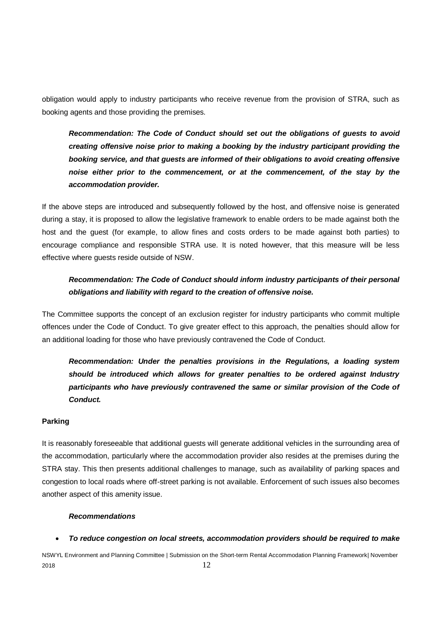obligation would apply to industry participants who receive revenue from the provision of STRA, such as booking agents and those providing the premises.

*Recommendation: The Code of Conduct should set out the obligations of guests to avoid creating offensive noise prior to making a booking by the industry participant providing the booking service, and that guests are informed of their obligations to avoid creating offensive*  noise either prior to the commencement, or at the commencement, of the stay by the *accommodation provider.*

If the above steps are introduced and subsequently followed by the host, and offensive noise is generated during a stay, it is proposed to allow the legislative framework to enable orders to be made against both the host and the guest (for example, to allow fines and costs orders to be made against both parties) to encourage compliance and responsible STRA use. It is noted however, that this measure will be less effective where guests reside outside of NSW.

## *Recommendation: The Code of Conduct should inform industry participants of their personal obligations and liability with regard to the creation of offensive noise.*

The Committee supports the concept of an exclusion register for industry participants who commit multiple offences under the Code of Conduct. To give greater effect to this approach, the penalties should allow for an additional loading for those who have previously contravened the Code of Conduct.

*Recommendation: Under the penalties provisions in the Regulations, a loading system should be introduced which allows for greater penalties to be ordered against Industry*  participants who have previously contravened the same or similar provision of the Code of *Conduct.*

#### **Parking**

It is reasonably foreseeable that additional guests will generate additional vehicles in the surrounding area of the accommodation, particularly where the accommodation provider also resides at the premises during the STRA stay. This then presents additional challenges to manage, such as availability of parking spaces and congestion to local roads where off-street parking is not available. Enforcement of such issues also becomes another aspect of this amenity issue.

#### *Recommendations*

• *To reduce congestion on local streets, accommodation providers should be required to make*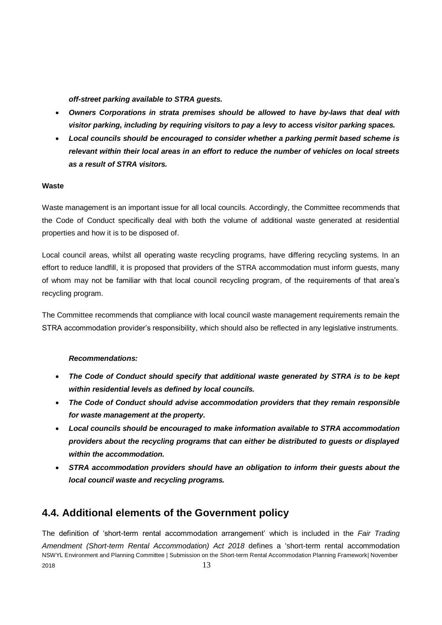*off-street parking available to STRA guests.*

- *Owners Corporations in strata premises should be allowed to have by-laws that deal with visitor parking, including by requiring visitors to pay a levy to access visitor parking spaces.*
- *Local councils should be encouraged to consider whether a parking permit based scheme is relevant within their local areas in an effort to reduce the number of vehicles on local streets as a result of STRA visitors.*

#### **Waste**

Waste management is an important issue for all local councils. Accordingly, the Committee recommends that the Code of Conduct specifically deal with both the volume of additional waste generated at residential properties and how it is to be disposed of.

Local council areas, whilst all operating waste recycling programs, have differing recycling systems. In an effort to reduce landfill, it is proposed that providers of the STRA accommodation must inform guests, many of whom may not be familiar with that local council recycling program, of the requirements of that area's recycling program.

The Committee recommends that compliance with local council waste management requirements remain the STRA accommodation provider's responsibility, which should also be reflected in any legislative instruments.

## *Recommendations:*

- *The Code of Conduct should specify that additional waste generated by STRA is to be kept within residential levels as defined by local councils.*
- *The Code of Conduct should advise accommodation providers that they remain responsible for waste management at the property.*
- *Local councils should be encouraged to make information available to STRA accommodation providers about the recycling programs that can either be distributed to guests or displayed within the accommodation.*
- *STRA accommodation providers should have an obligation to inform their guests about the local council waste and recycling programs.*

## **4.4. Additional elements of the Government policy**

NSWYL Environment and Planning Committee | Submission on the Short-term Rental Accommodation Planning Framework| November  $2018$   $13$ The definition of 'short-term rental accommodation arrangement' which is included in the *Fair Trading Amendment (Short-term Rental Accommodation) Act 2018* defines a 'short-term rental accommodation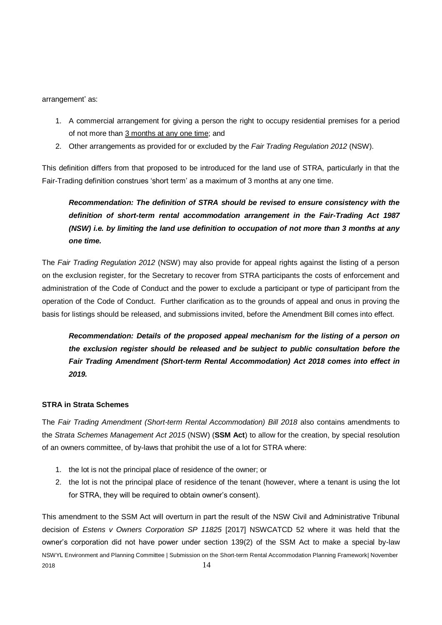arrangement' as:

- 1. A commercial arrangement for giving a person the right to occupy residential premises for a period of not more than 3 months at any one time; and
- 2. Other arrangements as provided for or excluded by the *Fair Trading Regulation 2012* (NSW).

This definition differs from that proposed to be introduced for the land use of STRA, particularly in that the Fair-Trading definition construes 'short term' as a maximum of 3 months at any one time.

*Recommendation: The definition of STRA should be revised to ensure consistency with the definition of short-term rental accommodation arrangement in the Fair-Trading Act 1987 (NSW) i.e. by limiting the land use definition to occupation of not more than 3 months at any one time.* 

The *Fair Trading Regulation 2012* (NSW) may also provide for appeal rights against the listing of a person on the exclusion register, for the Secretary to recover from STRA participants the costs of enforcement and administration of the Code of Conduct and the power to exclude a participant or type of participant from the operation of the Code of Conduct. Further clarification as to the grounds of appeal and onus in proving the basis for listings should be released, and submissions invited, before the Amendment Bill comes into effect.

*Recommendation: Details of the proposed appeal mechanism for the listing of a person on the exclusion register should be released and be subject to public consultation before the Fair Trading Amendment (Short-term Rental Accommodation) Act 2018 comes into effect in 2019.*

## **STRA in Strata Schemes**

The *Fair Trading Amendment (Short-term Rental Accommodation) Bill 2018* also contains amendments to the *Strata Schemes Management Act 2015* (NSW) (**SSM Act**) to allow for the creation, by special resolution of an owners committee, of by-laws that prohibit the use of a lot for STRA where:

- 1. the lot is not the principal place of residence of the owner; or
- 2. the lot is not the principal place of residence of the tenant (however, where a tenant is using the lot for STRA, they will be required to obtain owner's consent).

NSWYL Environment and Planning Committee | Submission on the Short-term Rental Accommodation Planning Framework| November  $2018$   $14$ This amendment to the SSM Act will overturn in part the result of the NSW Civil and Administrative Tribunal decision of *Estens v Owners Corporation SP 11825* [2017] NSWCATCD 52 where it was held that the owner's corporation did not have power under section 139(2) of the SSM Act to make a special by-law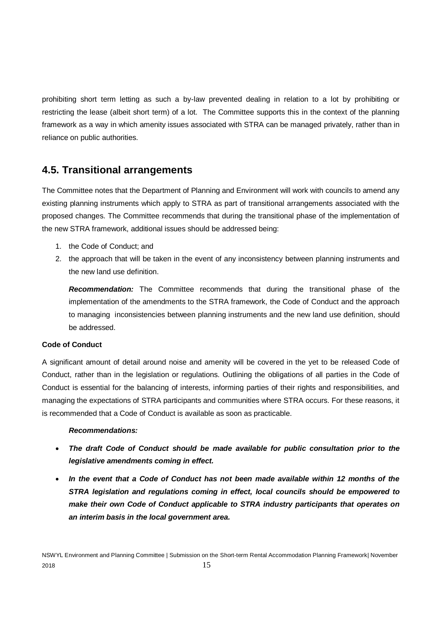prohibiting short term letting as such a by-law prevented dealing in relation to a lot by prohibiting or restricting the lease (albeit short term) of a lot. The Committee supports this in the context of the planning framework as a way in which amenity issues associated with STRA can be managed privately, rather than in reliance on public authorities.

## **4.5. Transitional arrangements**

The Committee notes that the Department of Planning and Environment will work with councils to amend any existing planning instruments which apply to STRA as part of transitional arrangements associated with the proposed changes. The Committee recommends that during the transitional phase of the implementation of the new STRA framework, additional issues should be addressed being:

- 1. the Code of Conduct; and
- 2. the approach that will be taken in the event of any inconsistency between planning instruments and the new land use definition.

*Recommendation:* The Committee recommends that during the transitional phase of the implementation of the amendments to the STRA framework, the Code of Conduct and the approach to managing inconsistencies between planning instruments and the new land use definition, should be addressed.

## **Code of Conduct**

A significant amount of detail around noise and amenity will be covered in the yet to be released Code of Conduct, rather than in the legislation or regulations. Outlining the obligations of all parties in the Code of Conduct is essential for the balancing of interests, informing parties of their rights and responsibilities, and managing the expectations of STRA participants and communities where STRA occurs. For these reasons, it is recommended that a Code of Conduct is available as soon as practicable.

## *Recommendations:*

- *The draft Code of Conduct should be made available for public consultation prior to the legislative amendments coming in effect.*
- *In the event that a Code of Conduct has not been made available within 12 months of the STRA legislation and regulations coming in effect, local councils should be empowered to make their own Code of Conduct applicable to STRA industry participants that operates on an interim basis in the local government area.*